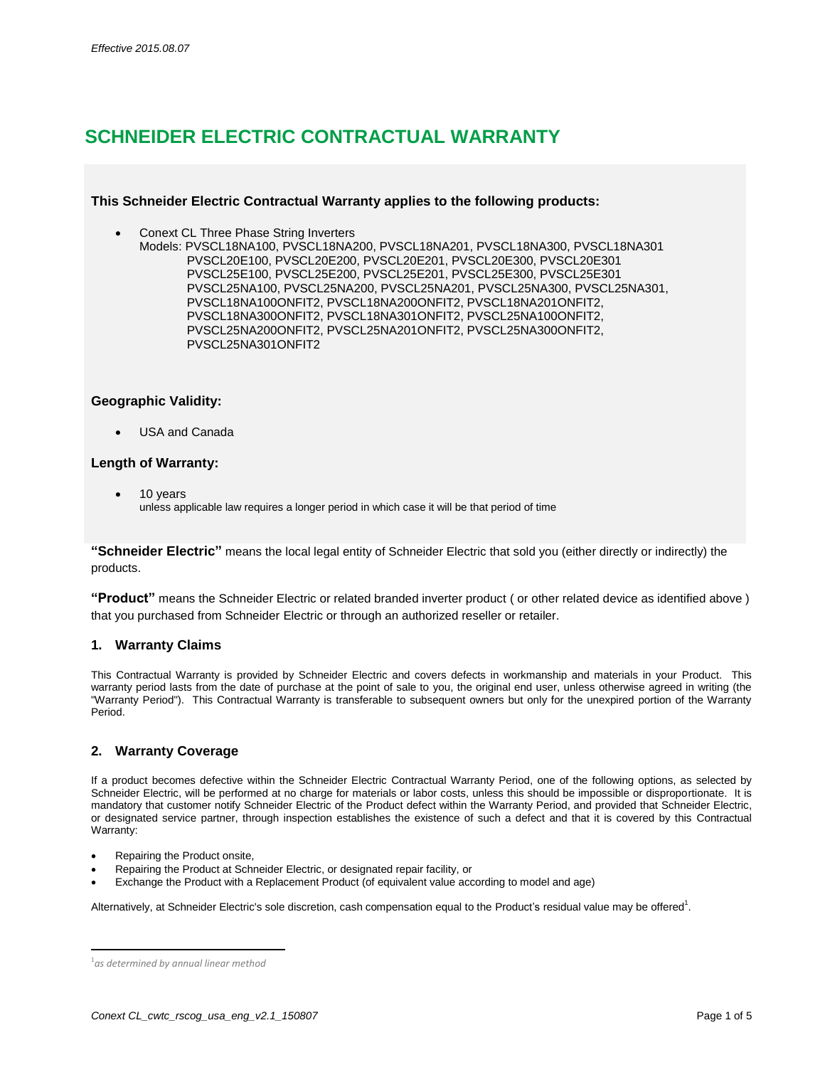# **SCHNEIDER ELECTRIC CONTRACTUAL WARRANTY**

# **This Schneider Electric Contractual Warranty applies to the following products:**

- Conext CL Three Phase String Inverters
	- Models: PVSCL18NA100, PVSCL18NA200, PVSCL18NA201, PVSCL18NA300, PVSCL18NA301 PVSCL20E100, PVSCL20E200, PVSCL20E201, PVSCL20E300, PVSCL20E301 PVSCL25E100, PVSCL25E200, PVSCL25E201, PVSCL25E300, PVSCL25E301 PVSCL25NA100, PVSCL25NA200, PVSCL25NA201, PVSCL25NA300, PVSCL25NA301, PVSCL18NA100ONFIT2, PVSCL18NA200ONFIT2, PVSCL18NA201ONFIT2, PVSCL18NA300ONFIT2, PVSCL18NA301ONFIT2, PVSCL25NA100ONFIT2, PVSCL25NA200ONFIT2, PVSCL25NA201ONFIT2, PVSCL25NA300ONFIT2, PVSCL25NA301ONFIT2

# **Geographic Validity:**

USA and Canada

# **Length of Warranty:**

 10 years unless applicable law requires a longer period in which case it will be that period of time

**"Schneider Electric"** means the local legal entity of Schneider Electric that sold you (either directly or indirectly) the products.

**"Product"** means the Schneider Electric or related branded inverter product ( or other related device as identified above ) that you purchased from Schneider Electric or through an authorized reseller or retailer.

# **1. Warranty Claims**

This Contractual Warranty is provided by Schneider Electric and covers defects in workmanship and materials in your Product. This warranty period lasts from the date of purchase at the point of sale to you, the original end user, unless otherwise agreed in writing (the "Warranty Period"). This Contractual Warranty is transferable to subsequent owners but only for the unexpired portion of the Warranty Period.

# **2. Warranty Coverage**

If a product becomes defective within the Schneider Electric Contractual Warranty Period, one of the following options, as selected by Schneider Electric, will be performed at no charge for materials or labor costs, unless this should be impossible or disproportionate. It is mandatory that customer notify Schneider Electric of the Product defect within the Warranty Period, and provided that Schneider Electric, or designated service partner, through inspection establishes the existence of such a defect and that it is covered by this Contractual Warranty:

- Repairing the Product onsite,
- Repairing the Product at Schneider Electric, or designated repair facility, or
- Exchange the Product with a Replacement Product (of equivalent value according to model and age)

Alternatively, at Schneider Electric's sole discretion, cash compensation equal to the Product's residual value may be offered<sup>1</sup>.

l

<sup>1</sup> *as determined by annual linear method*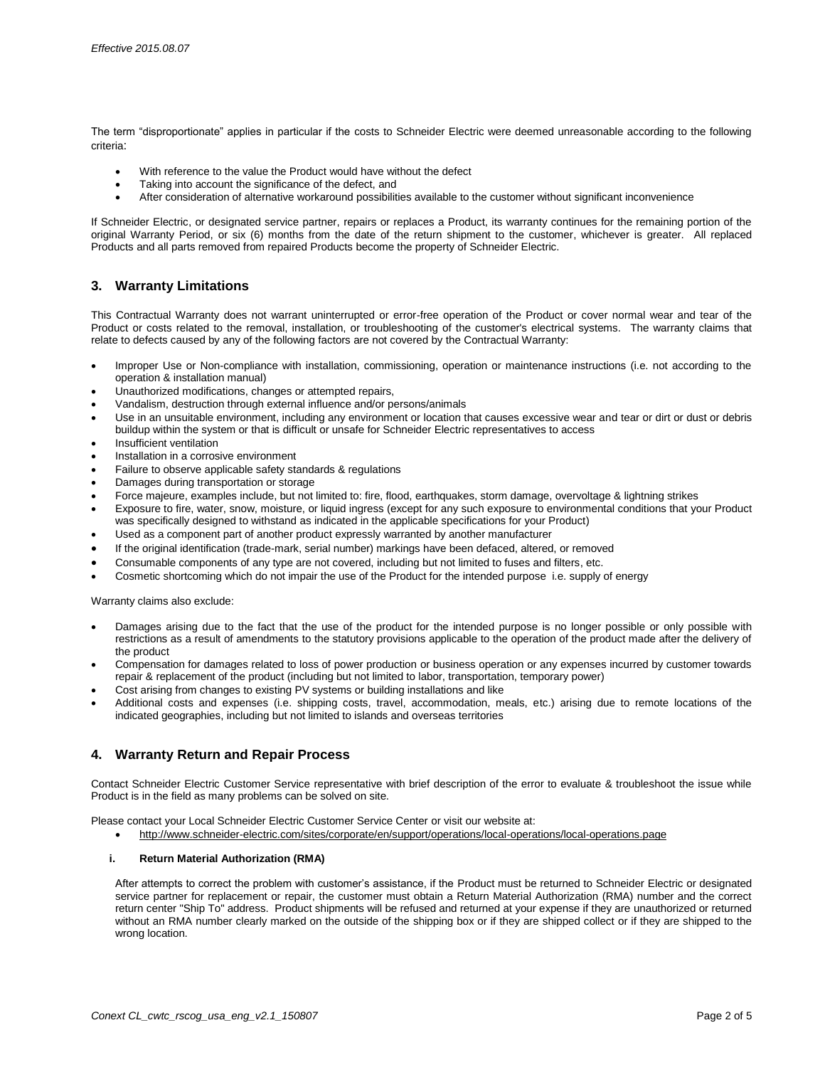The term "disproportionate" applies in particular if the costs to Schneider Electric were deemed unreasonable according to the following criteria:

- With reference to the value the Product would have without the defect
- Taking into account the significance of the defect, and
- After consideration of alternative workaround possibilities available to the customer without significant inconvenience

If Schneider Electric, or designated service partner, repairs or replaces a Product, its warranty continues for the remaining portion of the original Warranty Period, or six (6) months from the date of the return shipment to the customer, whichever is greater. All replaced Products and all parts removed from repaired Products become the property of Schneider Electric.

# **3. Warranty Limitations**

This Contractual Warranty does not warrant uninterrupted or error-free operation of the Product or cover normal wear and tear of the Product or costs related to the removal, installation, or troubleshooting of the customer's electrical systems. The warranty claims that relate to defects caused by any of the following factors are not covered by the Contractual Warranty:

- Improper Use or Non-compliance with installation, commissioning, operation or maintenance instructions (i.e. not according to the operation & installation manual)
- Unauthorized modifications, changes or attempted repairs,
- Vandalism, destruction through external influence and/or persons/animals
- Use in an unsuitable environment, including any environment or location that causes excessive wear and tear or dirt or dust or debris buildup within the system or that is difficult or unsafe for Schneider Electric representatives to access
- Insufficient ventilation
- Installation in a corrosive environment
- Failure to observe applicable safety standards & regulations
- Damages during transportation or storage
- Force majeure, examples include, but not limited to: fire, flood, earthquakes, storm damage, overvoltage & lightning strikes
- Exposure to fire, water, snow, moisture, or liquid ingress (except for any such exposure to environmental conditions that your Product was specifically designed to withstand as indicated in the applicable specifications for your Product)
- Used as a component part of another product expressly warranted by another manufacturer
- If the original identification (trade-mark, serial number) markings have been defaced, altered, or removed
- Consumable components of any type are not covered, including but not limited to fuses and filters, etc.
- Cosmetic shortcoming which do not impair the use of the Product for the intended purpose i.e. supply of energy

Warranty claims also exclude:

- Damages arising due to the fact that the use of the product for the intended purpose is no longer possible or only possible with restrictions as a result of amendments to the statutory provisions applicable to the operation of the product made after the delivery of the product
- Compensation for damages related to loss of power production or business operation or any expenses incurred by customer towards repair & replacement of the product (including but not limited to labor, transportation, temporary power)
- Cost arising from changes to existing PV systems or building installations and like
- Additional costs and expenses (i.e. shipping costs, travel, accommodation, meals, etc.) arising due to remote locations of the indicated geographies, including but not limited to islands and overseas territories

### **4. Warranty Return and Repair Process**

Contact Schneider Electric Customer Service representative with brief description of the error to evaluate & troubleshoot the issue while Product is in the field as many problems can be solved on site.

Please contact your Local Schneider Electric Customer Service Center or visit our website at:

http://www.schneider-electric.com/sites/corporate/en/support/operations/local-operations/local-operations.page

#### **i. Return Material Authorization (RMA)**

After attempts to correct the problem with customer's assistance, if the Product must be returned to Schneider Electric or designated service partner for replacement or repair, the customer must obtain a Return Material Authorization (RMA) number and the correct return center "Ship To" address. Product shipments will be refused and returned at your expense if they are unauthorized or returned without an RMA number clearly marked on the outside of the shipping box or if they are shipped collect or if they are shipped to the wrong location.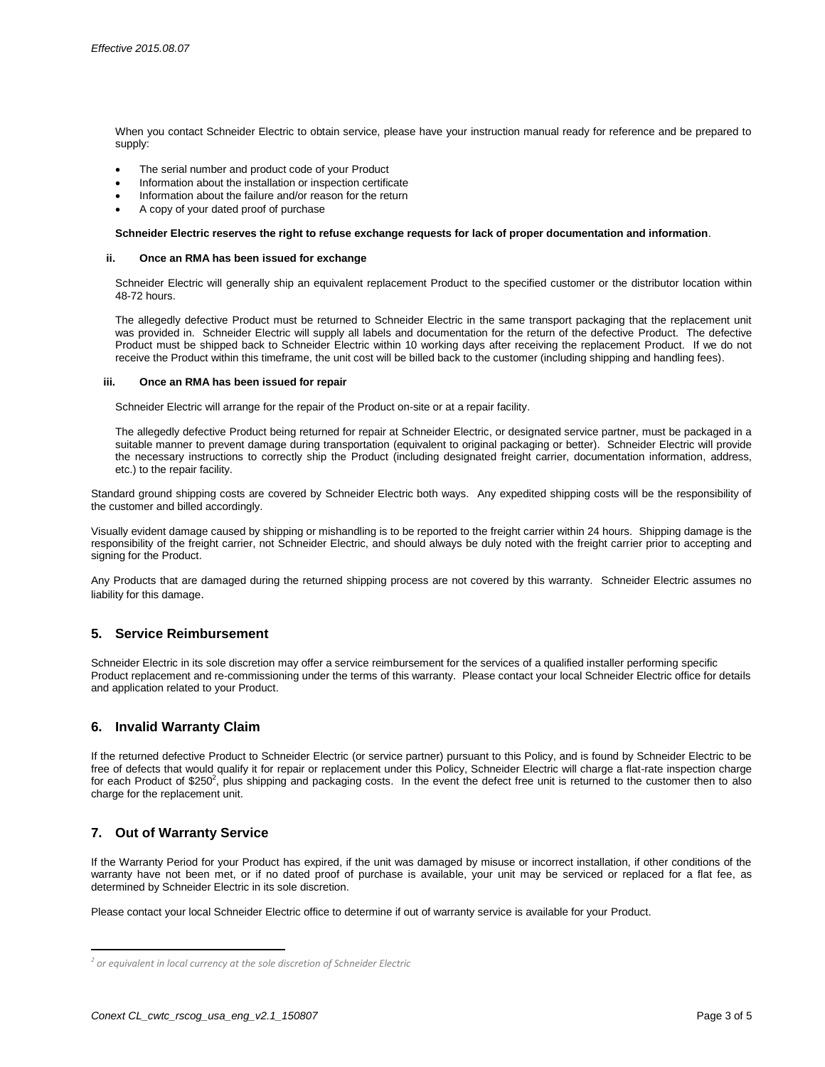When you contact Schneider Electric to obtain service, please have your instruction manual ready for reference and be prepared to supply:

- The serial number and product code of your Product
- Information about the installation or inspection certificate
- Information about the failure and/or reason for the return
- A copy of your dated proof of purchase

#### **Schneider Electric reserves the right to refuse exchange requests for lack of proper documentation and information**.

#### **ii. Once an RMA has been issued for exchange**

Schneider Electric will generally ship an equivalent replacement Product to the specified customer or the distributor location within 48-72 hours.

The allegedly defective Product must be returned to Schneider Electric in the same transport packaging that the replacement unit was provided in. Schneider Electric will supply all labels and documentation for the return of the defective Product. The defective Product must be shipped back to Schneider Electric within 10 working days after receiving the replacement Product. If we do not receive the Product within this timeframe, the unit cost will be billed back to the customer (including shipping and handling fees).

#### **iii. Once an RMA has been issued for repair**

Schneider Electric will arrange for the repair of the Product on-site or at a repair facility.

The allegedly defective Product being returned for repair at Schneider Electric, or designated service partner, must be packaged in a suitable manner to prevent damage during transportation (equivalent to original packaging or better). Schneider Electric will provide the necessary instructions to correctly ship the Product (including designated freight carrier, documentation information, address, etc.) to the repair facility.

Standard ground shipping costs are covered by Schneider Electric both ways. Any expedited shipping costs will be the responsibility of the customer and billed accordingly.

Visually evident damage caused by shipping or mishandling is to be reported to the freight carrier within 24 hours. Shipping damage is the responsibility of the freight carrier, not Schneider Electric, and should always be duly noted with the freight carrier prior to accepting and signing for the Product.

Any Products that are damaged during the returned shipping process are not covered by this warranty. Schneider Electric assumes no liability for this damage.

### **5. Service Reimbursement**

Schneider Electric in its sole discretion may offer a service reimbursement for the services of a qualified installer performing specific Product replacement and re-commissioning under the terms of this warranty. Please contact your local Schneider Electric office for details and application related to your Product.

# **6. Invalid Warranty Claim**

If the returned defective Product to Schneider Electric (or service partner) pursuant to this Policy, and is found by Schneider Electric to be free of defects that would qualify it for repair or replacement under this Policy, Schneider Electric will charge a flat-rate inspection charge for each Product of \$250<sup>2</sup>, plus shipping and packaging costs. In the event the defect free unit is returned to the customer then to also charge for the replacement unit.

# **7. Out of Warranty Service**

l

If the Warranty Period for your Product has expired, if the unit was damaged by misuse or incorrect installation, if other conditions of the warranty have not been met, or if no dated proof of purchase is available, your unit may be serviced or replaced for a flat fee, as determined by Schneider Electric in its sole discretion.

Please contact your local Schneider Electric office to determine if out of warranty service is available for your Product.

*<sup>2</sup> or equivalent in local currency at the sole discretion of Schneider Electric*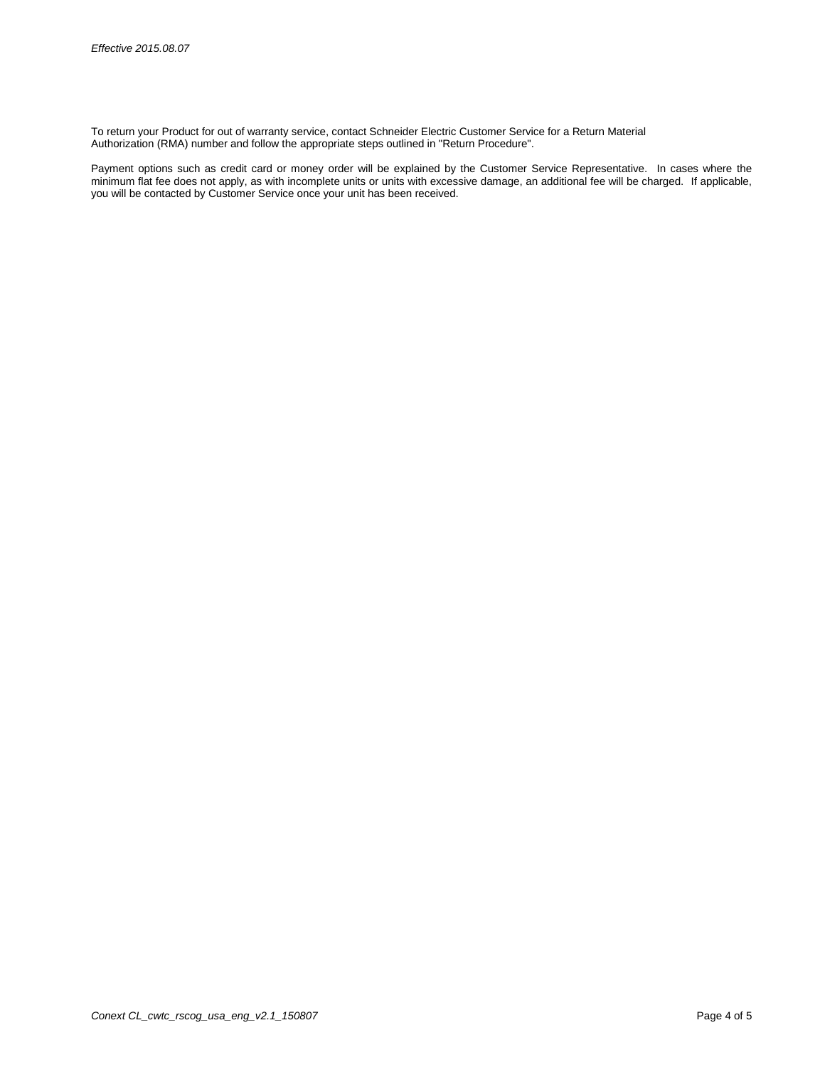To return your Product for out of warranty service, contact Schneider Electric Customer Service for a Return Material Authorization (RMA) number and follow the appropriate steps outlined in "Return Procedure".

Payment options such as credit card or money order will be explained by the Customer Service Representative. In cases where the minimum flat fee does not apply, as with incomplete units or units with excessive damage, an additional fee will be charged. If applicable, you will be contacted by Customer Service once your unit has been received.